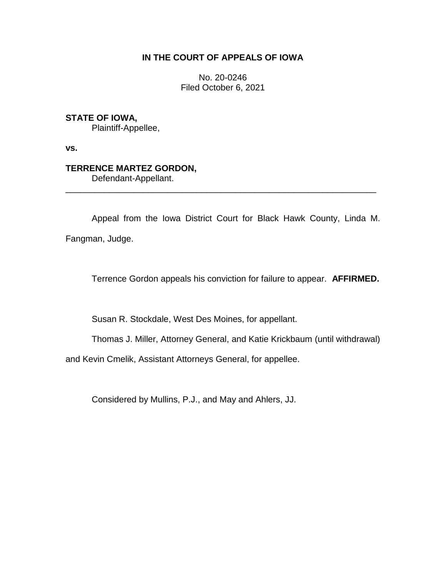# **IN THE COURT OF APPEALS OF IOWA**

No. 20-0246 Filed October 6, 2021

## **STATE OF IOWA,**

Plaintiff-Appellee,

**vs.**

# **TERRENCE MARTEZ GORDON,**

Defendant-Appellant.

Appeal from the Iowa District Court for Black Hawk County, Linda M. Fangman, Judge.

\_\_\_\_\_\_\_\_\_\_\_\_\_\_\_\_\_\_\_\_\_\_\_\_\_\_\_\_\_\_\_\_\_\_\_\_\_\_\_\_\_\_\_\_\_\_\_\_\_\_\_\_\_\_\_\_\_\_\_\_\_\_\_\_

Terrence Gordon appeals his conviction for failure to appear. **AFFIRMED.**

Susan R. Stockdale, West Des Moines, for appellant.

Thomas J. Miller, Attorney General, and Katie Krickbaum (until withdrawal)

and Kevin Cmelik, Assistant Attorneys General, for appellee.

Considered by Mullins, P.J., and May and Ahlers, JJ.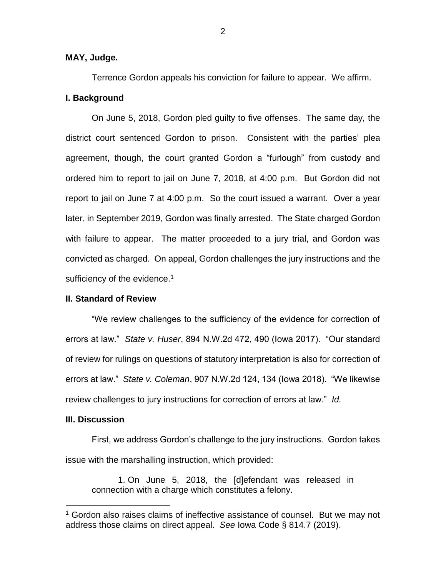### **MAY, Judge.**

Terrence Gordon appeals his conviction for failure to appear. We affirm. **I. Background**

On June 5, 2018, Gordon pled guilty to five offenses. The same day, the district court sentenced Gordon to prison. Consistent with the parties' plea agreement, though, the court granted Gordon a "furlough" from custody and ordered him to report to jail on June 7, 2018, at 4:00 p.m. But Gordon did not report to jail on June 7 at 4:00 p.m. So the court issued a warrant. Over a year later, in September 2019, Gordon was finally arrested. The State charged Gordon with failure to appear. The matter proceeded to a jury trial, and Gordon was convicted as charged. On appeal, Gordon challenges the jury instructions and the sufficiency of the evidence.<sup>1</sup>

### **II. Standard of Review**

"We review challenges to the sufficiency of the evidence for correction of errors at law." *State v. Huser*, 894 N.W.2d 472, 490 (Iowa 2017). "Our standard of review for rulings on questions of statutory interpretation is also for correction of errors at law." *State v. Coleman*, 907 N.W.2d 124, 134 (Iowa 2018). "We likewise review challenges to jury instructions for correction of errors at law." *Id.*

#### **III. Discussion**

 $\overline{a}$ 

First, we address Gordon's challenge to the jury instructions. Gordon takes issue with the marshalling instruction, which provided:

1. On June 5, 2018, the [d]efendant was released in connection with a charge which constitutes a felony.

<sup>&</sup>lt;sup>1</sup> Gordon also raises claims of ineffective assistance of counsel. But we may not address those claims on direct appeal. *See* Iowa Code § 814.7 (2019).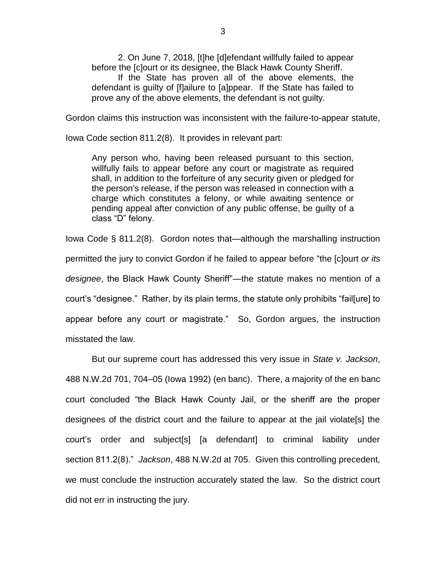2. On June 7, 2018, [t]he [d]efendant willfully failed to appear before the [c]ourt or its designee, the Black Hawk County Sheriff. If the State has proven all of the above elements, the defendant is guilty of [f]ailure to [a]ppear. If the State has failed to prove any of the above elements, the defendant is not guilty.

Gordon claims this instruction was inconsistent with the failure-to-appear statute,

Iowa Code section 811.2(8). It provides in relevant part:

Any person who, having been released pursuant to this section, willfully fails to appear before any court or magistrate as required shall, in addition to the forfeiture of any security given or pledged for the person's release, if the person was released in connection with a charge which constitutes a felony, or while awaiting sentence or pending appeal after conviction of any public offense, be guilty of a class "D" felony.

Iowa Code § 811.2(8). Gordon notes that—although the marshalling instruction permitted the jury to convict Gordon if he failed to appear before "the [c]ourt *or its designee*, the Black Hawk County Sheriff"—the statute makes no mention of a court's "designee." Rather, by its plain terms, the statute only prohibits "fail[ure] to appear before any court or magistrate." So, Gordon argues, the instruction misstated the law.

But our supreme court has addressed this very issue in *State v. Jackson*, 488 N.W.2d 701, 704–05 (Iowa 1992) (en banc). There, a majority of the en banc court concluded "the Black Hawk County Jail, or the sheriff are the proper designees of the district court and the failure to appear at the jail violate[s] the court's order and subject[s] [a defendant] to criminal liability under section 811.2(8)." *Jackson*, 488 N.W.2d at 705. Given this controlling precedent, we must conclude the instruction accurately stated the law. So the district court did not err in instructing the jury.